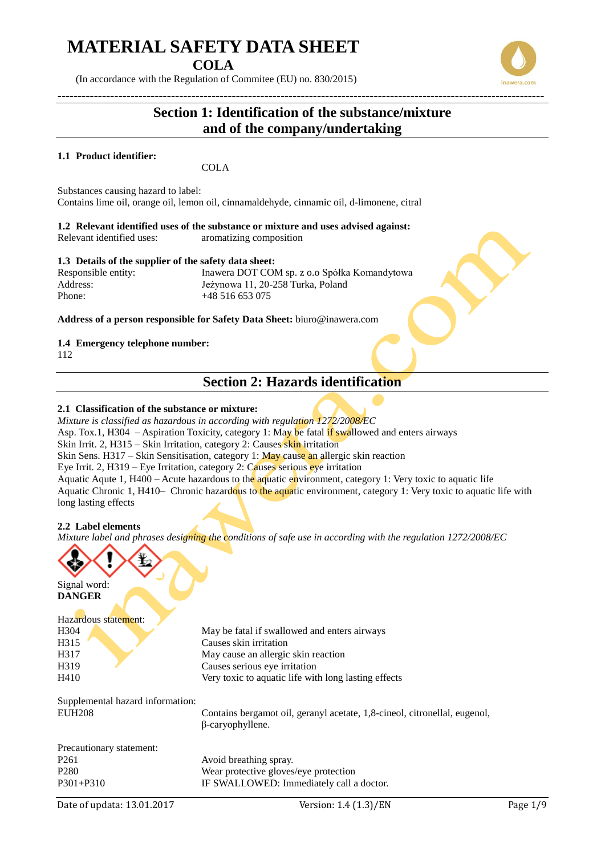**COLA**

(In accordance with the Regulation of Commitee (EU) no. 830/2015)

## **Section 1: Identification of the substance/mixture and of the company/undertaking**

**------------------------------------------------------------------------------------------------------------------------**

### **1.1 Product identifier:**

**COLA** 

Substances causing hazard to label: Contains lime oil, orange oil, lemon oil, cinnamaldehyde, cinnamic oil, d-limonene, citral

**1.2 Relevant identified uses of the substance or mixture and uses advised against:** Relevant identified uses: aromatizing composition

### **1.3 Details of the supplier of the safety data sheet:**

Responsible entity: Inawera DOT COM sp. z o.o Spółka Komandytowa Address: Jeżynowa 11, 20-258 Turka, Poland Phone: +48 516 653 075

**Address of a person responsible for Safety Data Sheet:** biuro@inawera.com

### **1.4 Emergency telephone number:**

112

### **Section 2: Hazards identification**

### **2.1 Classification of the substance or mixture:**

*Mixture is classified as hazardous in according with regulation 1272/2008/EC* Asp. Tox.1, H304 – Aspiration Toxicity, category 1: May be fatal if swallowed and enters airways Skin Irrit. 2, H315 – Skin Irritation, category 2: Causes skin irritation Skin Sens. H317 – Skin Sensitisation, category 1: May cause an allergic skin reaction Eye Irrit. 2, H319 – Eye Irritation, category 2: Causes serious eye irritation Aquatic Aqute 1, H400 – Acute hazardous to the aquatic environment, category 1: Very toxic to aquatic life Aquatic Chronic 1, H410– Chronic hazardous to the aquatic environment, category 1: Very toxic to aquatic life with long lasting effects

### **2.2 Label elements**

*Mixture label and phrases designing the conditions of safe use in according with the regulation 1272/2008/EC*



Signal word: **DANGER**

#### Hazardous statement:  $H_{204}$  May be fatal if swallowed and enters airways

| HUCN. | May be fatal II swallowed and emers all ways         |
|-------|------------------------------------------------------|
| H315  | Causes skin irritation                               |
| H317  | May cause an allergic skin reaction                  |
| H319  | Causes serious eye irritation                        |
| H410  | Very toxic to aquatic life with long lasting effects |

Supplemental hazard information:

EUH208 Contains bergamot oil, geranyl acetate, 1,8-cineol, citronellal, eugenol, β-caryophyllene.

| Precautionary statement: |                                          |
|--------------------------|------------------------------------------|
| P <sub>261</sub>         | Avoid breathing spray.                   |
| P <sub>280</sub>         | Wear protective gloves/eye protection    |
| $P301 + P310$            | IF SWALLOWED: Immediately call a doctor. |



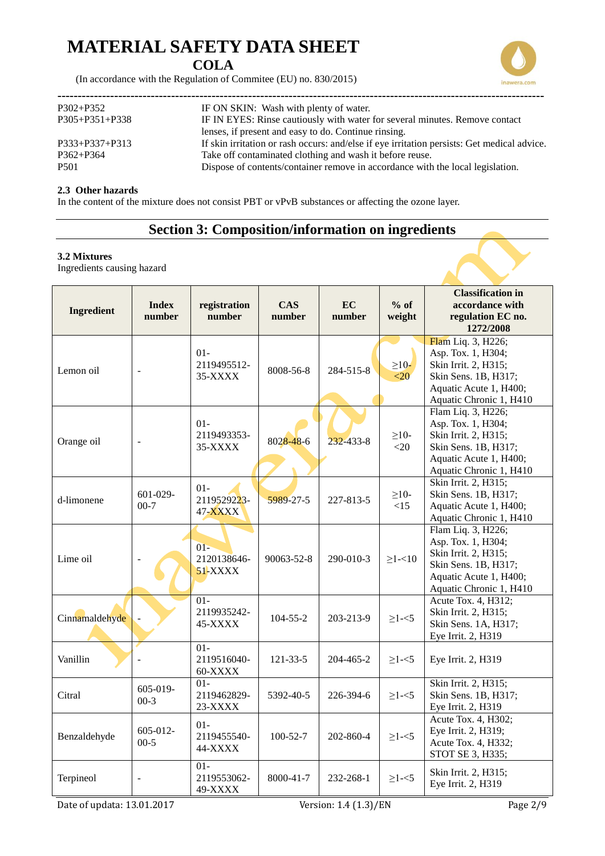### **COLA**

(In accordance with the Regulation of Commitee (EU) no. 830/2015)

| $P302 + P352$        | IF ON SKIN: Wash with plenty of water.                                                      |
|----------------------|---------------------------------------------------------------------------------------------|
| $P305 + P351 + P338$ | IF IN EYES: Rinse cautiously with water for several minutes. Remove contact                 |
|                      | lenses, if present and easy to do. Continue rinsing.                                        |
| $P333+P337+P313$     | If skin irritation or rash occurs: and/else if eye irritation persists: Get medical advice. |
| $P362 + P364$        | Take off contaminated clothing and wash it before reuse.                                    |
| <b>P501</b>          | Dispose of contents/container remove in accordance with the local legislation.              |
|                      |                                                                                             |

### **2.3 Other hazards**

In the content of the mixture does not consist PBT or vPvB substances or affecting the ozone layer.

## **Section 3: Composition/information on ingredients**

### **3.2 Mixtures**

Ingredients causing hazard

| <b>Ingredient</b> | <b>Index</b><br>number    | registration<br>number           | CAS<br>number  | <b>EC</b><br>number | $%$ of<br>weight     | <b>Classification in</b><br>accordance with<br>regulation EC no.<br>1272/2008                                                                 |
|-------------------|---------------------------|----------------------------------|----------------|---------------------|----------------------|-----------------------------------------------------------------------------------------------------------------------------------------------|
| Lemon oil         | $\overline{\phantom{a}}$  | $01 -$<br>2119495512-<br>35-XXXX | 8008-56-8      | 284-515-8           | $\geq$ 10-<br><20    | Flam Liq. 3, H226;<br>Asp. Tox. 1, H304;<br>Skin Irrit. 2, H315;<br>Skin Sens. 1B, H317;<br>Aquatic Acute 1, H400;<br>Aquatic Chronic 1, H410 |
| Orange oil        | $\overline{a}$            | $01 -$<br>2119493353-<br>35-XXXX | 8028-48-6      | 232-433-8           | $\geq$ 10-<br>$<$ 20 | Flam Liq. 3, H226;<br>Asp. Tox. 1, H304;<br>Skin Irrit. 2, H315;<br>Skin Sens. 1B, H317;<br>Aquatic Acute 1, H400;<br>Aquatic Chronic 1, H410 |
| d-limonene        | $601 - 029 -$<br>$00-7$   | $01 -$<br>2119529223-<br>47-XXXX | 5989-27-5      | 227-813-5           | $\geq$ 10-<br><15    | Skin Irrit. 2, H315;<br>Skin Sens. 1B, H317;<br>Aquatic Acute 1, H400;<br>Aquatic Chronic 1, H410                                             |
| Lime oil          |                           | $01 -$<br>2120138646-<br>51-XXXX | 90063-52-8     | 290-010-3           | $\geq$ 1-<10         | Flam Liq. 3, H226;<br>Asp. Tox. 1, H304;<br>Skin Irrit. 2, H315;<br>Skin Sens. 1B, H317;<br>Aquatic Acute 1, H400;<br>Aquatic Chronic 1, H410 |
| Cinnamaldehyde    |                           | $01 -$<br>2119935242-<br>45-XXXX | $104 - 55 - 2$ | 203-213-9           | $\geq$ 1-<5          | Acute Tox. 4, H312;<br>Skin Irrit. 2, H315;<br>Skin Sens. 1A, H317;<br>Eye Irrit. 2, H319                                                     |
| Vanillin          |                           | $01 -$<br>2119516040-<br>60-XXXX | $121 - 33 - 5$ | 204-465-2           | $\geq$ 1-<5          | Eye Irrit. 2, H319                                                                                                                            |
| Citral            | 605-019-<br>$00-3$        | $01 -$<br>2119462829-<br>23-XXXX | 5392-40-5      | 226-394-6           | $\geq$ 1-<5          | Skin Irrit. 2, H315;<br>Skin Sens. 1B, H317;<br>Eye Irrit. 2, H319                                                                            |
| Benzaldehyde      | $605 - 012 -$<br>$00 - 5$ | $01 -$<br>2119455540-<br>44-XXXX | $100 - 52 - 7$ | 202-860-4           | $\geq$ 1-<5          | Acute Tox. 4, H302;<br>Eye Irrit. 2, H319;<br>Acute Tox. 4, H332;<br>STOT SE 3, H335;                                                         |
| Terpineol         |                           | $01 -$<br>2119553062-<br>49-XXXX | 8000-41-7      | 232-268-1           | $\geq$ 1- $<$ 5      | Skin Irrit. 2, H315;<br>Eye Irrit. 2, H319                                                                                                    |

Date of updata: 13.01.2017 Version: 1.4 (1.3)/EN Page 2/9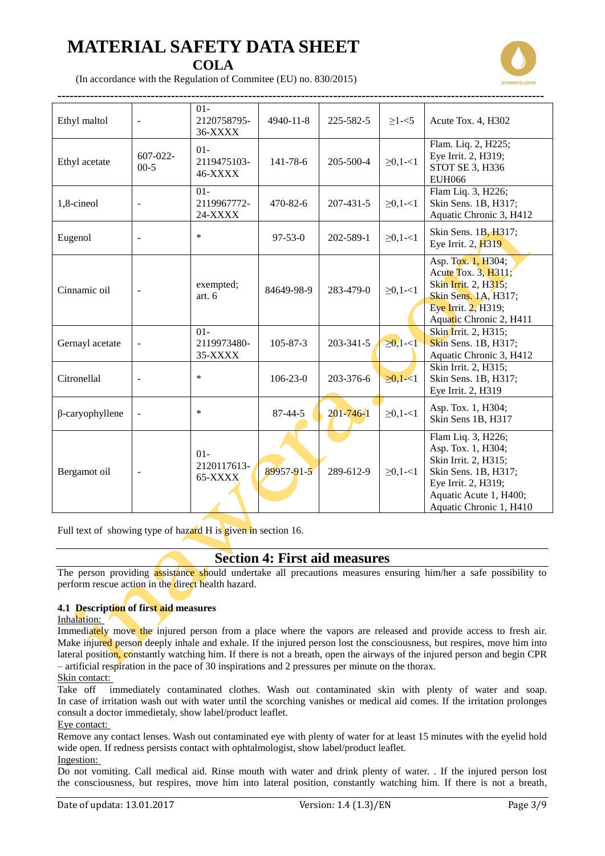

(In accordance with the Regulation of Commitee (EU) no. 830/2015)

| Ethyl maltol           | $\blacksquare$           | $01 -$<br>2120758795-<br>36-XXXX          | 4940-11-8      | 225-582-5       | $\geq$ 1- $<$ 5 | Acute Tox. 4, H302                                                                                                                                                   |
|------------------------|--------------------------|-------------------------------------------|----------------|-----------------|-----------------|----------------------------------------------------------------------------------------------------------------------------------------------------------------------|
| Ethyl acetate          | $607 - 022 -$<br>$00-5$  | $01-$<br>2119475103-<br>46-XXXX           | $141 - 78 - 6$ | 205-500-4       | $\geq 0, 1 - 1$ | Flam. Liq. 2, H225;<br>Eye Irrit. 2, H319;<br>STOT SE 3, H336<br><b>EUH066</b>                                                                                       |
| 1,8-cineol             |                          | $01-$<br>2119967772-<br>24-XXXX           | 470-82-6       | $207 - 431 - 5$ | $\geq 0, 1 - 1$ | Flam Liq. 3, H226;<br>Skin Sens. 1B, H317;<br>Aquatic Chronic 3, H412                                                                                                |
| Eugenol                | $\overline{a}$           | $\ast$                                    | $97 - 53 - 0$  | 202-589-1       | $\geq 0, 1 - 1$ | Skin Sens. 1B, H317;<br>Eye Irrit. 2, H319                                                                                                                           |
| Cinnamic oil           | $\overline{\phantom{a}}$ | exempted;<br>art. 6                       | 84649-98-9     | 283-479-0       | $\geq 0, 1 - 1$ | Asp. Tox. 1, H304;<br>Acute Tox. 3, H311;<br>Skin Irrit. 2, H315;<br>Skin Sens. 1A, H317;<br>Eye Irrit. 2, H319;<br>Aquatic Chronic 2, H411                          |
| Gernayl acetate        |                          | $\overline{01}$<br>2119973480-<br>35-XXXX | $105 - 87 - 3$ | $203 - 341 - 5$ | $\geq 0, 1 - 1$ | Skin Irrit. 2, H315;<br>Skin Sens. 1B, H317;<br>Aquatic Chronic 3, H412                                                                                              |
| Citronellal            |                          | $\ast$                                    | $106 - 23 - 0$ | 203-376-6       | $\geq 0, 1 < 1$ | Skin Irrit. 2, H315;<br>Skin Sens. 1B, H317;<br>Eye Irrit. 2, H319                                                                                                   |
| $\beta$ -caryophyllene |                          | $\ast$                                    | $87 - 44 - 5$  | $201 - 746 - 1$ | $\geq 0, 1 - 1$ | Asp. Tox. 1, H304;<br>Skin Sens 1B, H317                                                                                                                             |
| Bergamot oil           |                          | $01 -$<br>2120117613-<br>65-XXXX          | 89957-91-5     | 289-612-9       | $\geq 0, 1 - 1$ | Flam Liq. 3, H226;<br>Asp. Tox. 1, H304;<br>Skin Irrit. 2, H315;<br>Skin Sens. 1B, H317;<br>Eye Irrit. 2, H319;<br>Aquatic Acute 1, H400;<br>Aquatic Chronic 1, H410 |

Full text of showing type of hazard H is given in section 16.

### **Section 4: First aid measures**

The person providing assistance should undertake all precautions measures ensuring him/her a safe possibility to perform rescue action in the direct health hazard.

### **4.1 Description of first aid measures**

#### Inhalation:

Immediately move the injured person from a place where the vapors are released and provide access to fresh air. Make injured person deeply inhale and exhale. If the injured person lost the consciousness, but respires, move him into lateral position, constantly watching him. If there is not a breath, open the airways of the injured person and begin CPR – artificial respiration in the pace of 30 inspirations and 2 pressures per minute on the thorax.

### Skin contact:

Take off immediately contaminated clothes. Wash out contaminated skin with plenty of water and soap. In case of irritation wash out with water until the scorching vanishes or medical aid comes. If the irritation prolonges consult a doctor immedietaly, show label/product leaflet.

### Eye contact:

Remove any contact lenses. Wash out contaminated eye with plenty of water for at least 15 minutes with the eyelid hold wide open. If redness persists contact with ophtalmologist, show label/product leaflet.

### Ingestion:

Do not vomiting. Call medical aid. Rinse mouth with water and drink plenty of water. . If the injured person lost the consciousness, but respires, move him into lateral position, constantly watching him. If there is not a breath,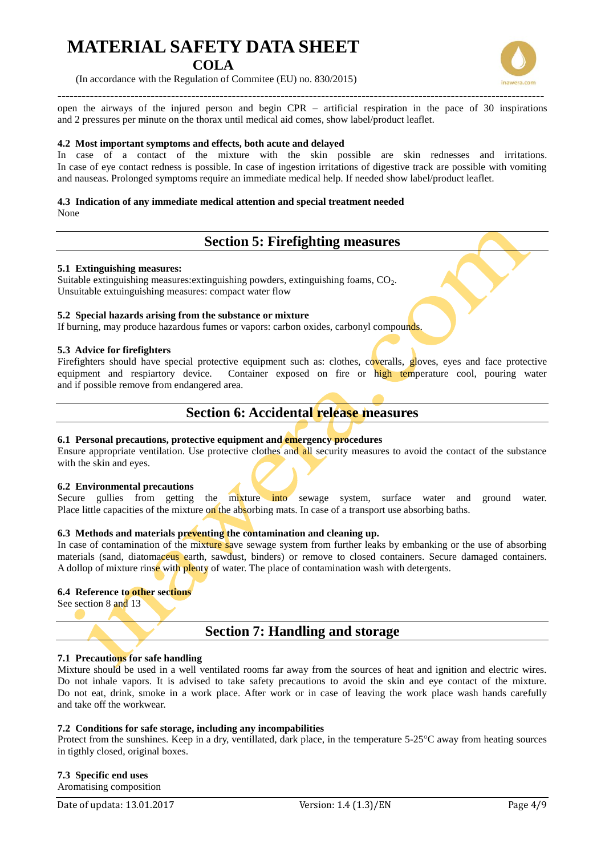### **COLA**

(In accordance with the Regulation of Commitee (EU) no. 830/2015)

**------------------------------------------------------------------------------------------------------------------------**

open the airways of the injured person and begin CPR – artificial respiration in the pace of 30 inspirations and 2 pressures per minute on the thorax until medical aid comes, show label/product leaflet.

### **4.2 Most important symptoms and effects, both acute and delayed**

In case of a contact of the mixture with the skin possible are skin rednesses and irritations. In case of eye contact redness is possible. In case of ingestion irritations of digestive track are possible with vomiting and nauseas. Prolonged symptoms require an immediate medical help. If needed show label/product leaflet.

### **4.3 Indication of any immediate medical attention and special treatment needed**

None

## **Section 5: Firefighting measures**

### **5.1 Extinguishing measures:**

Suitable extinguishing measures: extinguishing powders, extinguishing foams, CO<sub>2</sub>. Unsuitable extuinguishing measures: compact water flow

### **5.2 Special hazards arising from the substance or mixture**

If burning, may produce hazardous fumes or vapors: carbon oxides, carbonyl compounds.

### **5.3 Advice for firefighters**

Firefighters should have special protective equipment such as: clothes, coveralls, gloves, eyes and face protective equipment and respiartory device. Container exposed on fire or high temperature cool, pouring water and if possible remove from endangered area.

### **Section 6: Accidental release measures**

### **6.1 Personal precautions, protective equipment and emergency procedures**

Ensure appropriate ventilation. Use protective clothes and all security measures to avoid the contact of the substance with the skin and eyes.

### **6.2 Environmental precautions**

Secure gullies from getting the mixture into sewage system, surface water and ground water. Place little capacities of the mixture on the absorbing mats. In case of a transport use absorbing baths.

### **6.3 Methods and materials preventing the contamination and cleaning up.**

In case of contamination of the mixture save sewage system from further leaks by embanking or the use of absorbing materials (sand, diatomaceus earth, sawdust, binders) or remove to closed containers. Secure damaged containers. A dollop of mixture rinse with plenty of water. The place of contamination wash with detergents.

### **6.4 Reference to other sections**

See section 8 and 13

### **Section 7: Handling and storage**

### **7.1 Precautions for safe handling**

Mixture should be used in a well ventilated rooms far away from the sources of heat and ignition and electric wires. Do not inhale vapors. It is advised to take safety precautions to avoid the skin and eye contact of the mixture. Do not eat, drink, smoke in a work place. After work or in case of leaving the work place wash hands carefully and take off the workwear.

### **7.2 Conditions for safe storage, including any incompabilities**

Protect from the sunshines. Keep in a dry, ventillated, dark place, in the temperature 5-25°C away from heating sources in tigthly closed, original boxes.

**7.3 Specific end uses** Aromatising composition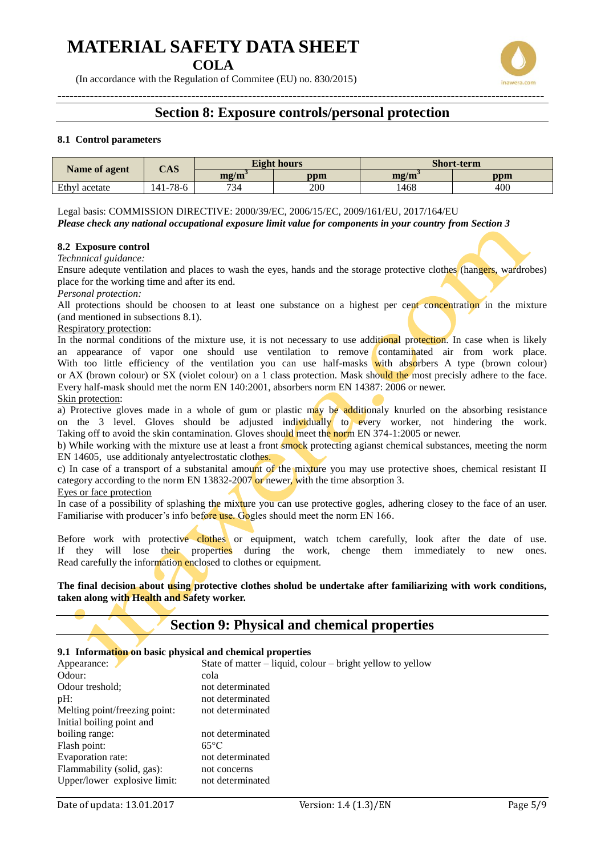**COLA**

(In accordance with the Regulation of Commitee (EU) no. 830/2015)



### **8.1 Control parameters**

|               | $\bf CAS$ |             | <b>Eight hours</b> | <b>Short-term</b> |     |
|---------------|-----------|-------------|--------------------|-------------------|-----|
| Name of agent |           | $m\Omega/m$ | ppm                | mg/m              | ppm |
| Ethyl acetate | 141-78-6  | 734         | 200                | 1468              | 400 |

Legal basis: COMMISSION DIRECTIVE: 2000/39/EC, 2006/15/EC, 2009/161/EU, 2017/164/EU *Please check any national occupational exposure limit value for components in your country from Section 3*

### **8.2 Exposure control**

*Technnical guidance:*

Ensure adequte ventilation and places to wash the eyes, hands and the storage protective clothes (hangers, wardrobes) place for the working time and after its end.

*Personal protection:*

All protections should be choosen to at least one substance on a highest per cent concentration in the mixture (and mentioned in subsections 8.1).

#### Respiratory protection:

In the normal conditions of the mixture use, it is not necessary to use additional protection. In case when is likely an appearance of vapor one should use ventilation to remove contaminated air from work place. With too little efficiency of the ventilation you can use half-masks with absorbers A type (brown colour) or AX (brown colour) or SX (violet colour) on a 1 class protection. Mask should the most precisly adhere to the face. Every half-mask should met the norm EN 140:2001, absorbers norm EN 14387: 2006 or newer.

#### Skin protection:

a) Protective gloves made in a whole of gum or plastic may be additionaly knurled on the absorbing resistance on the 3 level. Gloves should be adjusted individually to every worker, not hindering the work. Taking off to avoid the skin contamination. Gloves should meet the norm EN 374-1:2005 or newer.

b) While working with the mixture use at least a front smock protecting agianst chemical substances, meeting the norm EN 14605, use additionaly antyelectrostatic clothes.

c) In case of a transport of a substanital amount of the mixture you may use protective shoes, chemical resistant II category according to the norm EN 13832-2007 or newer, with the time absorption 3.

#### Eyes or face protection

In case of a possibility of splashing the mixture you can use protective gogles, adhering closey to the face of an user. Familiarise with producer's info before use. Gogles should meet the norm EN 166.

Before work with protective clothes or equipment, watch tchem carefully, look after the date of use. If they will lose their properties during the work, chenge them immediately to new ones. Read carefully the information enclosed to clothes or equipment.

**The final decision about using protective clothes sholud be undertake after familiarizing with work conditions, taken along with Health and Safety worker.** 

### **Section 9: Physical and chemical properties**

#### **9.1 Information on basic physical and chemical properties**

| Appearance:                   | State of matter – liquid, colour – bright yellow to yellow |
|-------------------------------|------------------------------------------------------------|
| Odour:                        | cola                                                       |
| Odour treshold:               | not determinated                                           |
| $pH$ :                        | not determinated                                           |
| Melting point/freezing point: | not determinated                                           |
| Initial boiling point and     |                                                            |
| boiling range:                | not determinated                                           |
| Flash point:                  | $65^{\circ}$ C                                             |
| Evaporation rate:             | not determinated                                           |
| Flammability (solid, gas):    | not concerns                                               |
| Upper/lower explosive limit:  | not determinated                                           |
|                               |                                                            |

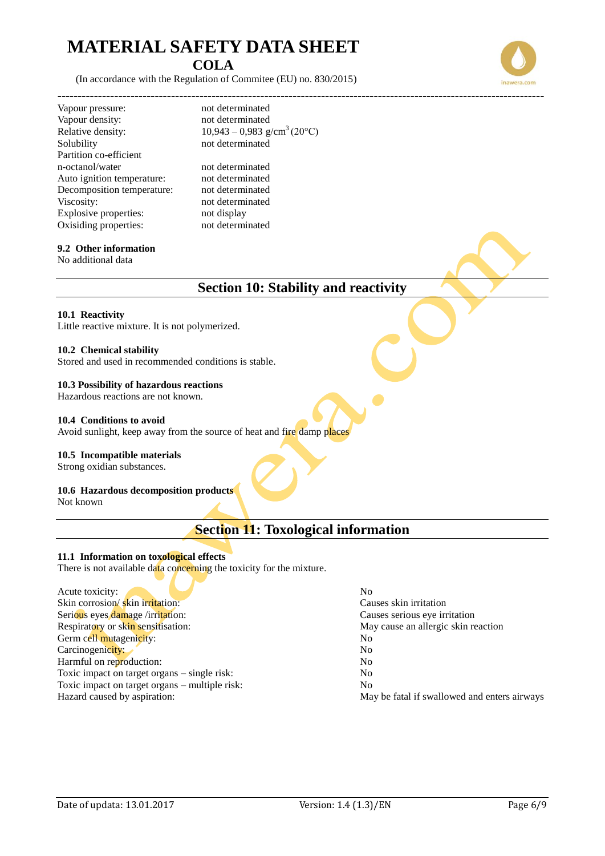(In accordance with the Regulation of Commitee (EU) no. 830/2015)

Vapour pressure: not determinated Vapour density: not determinated Relative density:  $10,943 - 0,983$  g/cm<sup>3</sup> (20°C) Solubility not determinated Partition co-efficient n-octanol/water not determinated Auto ignition temperature: not determinated Decomposition temperature: not determinated Viscosity: not determinated Explosive properties: not display Oxisiding properties: not determinated

### **9.2 Other information**

No additional data

### **Section 10: Stability and reactivity**

### **10.1 Reactivity**

Little reactive mixture. It is not polymerized.

**------------------------------------------------------------------------------------------------------------------------**

### **10.2 Chemical stability**

Stored and used in recommended conditions is stable.

### **10.3 Possibility of hazardous reactions**

Hazardous reactions are not known.

### **10.4 Conditions to avoid**

Avoid sunlight, keep away from the source of heat and fire damp places

### **10.5 Incompatible materials**

Strong oxidian substances.

### **10.6 Hazardous decomposition products**

Not known

### **Section 11: Toxological information**

### **11.1 Information on toxological effects**

There is not available data concerning the toxicity for the mixture.

| N <sub>0</sub>                               |
|----------------------------------------------|
| Causes skin irritation                       |
| Causes serious eye irritation                |
| May cause an allergic skin reaction          |
| No                                           |
| No                                           |
| No.                                          |
| No                                           |
| N <sub>0</sub>                               |
| May be fatal if swallowed and enters airways |
|                                              |



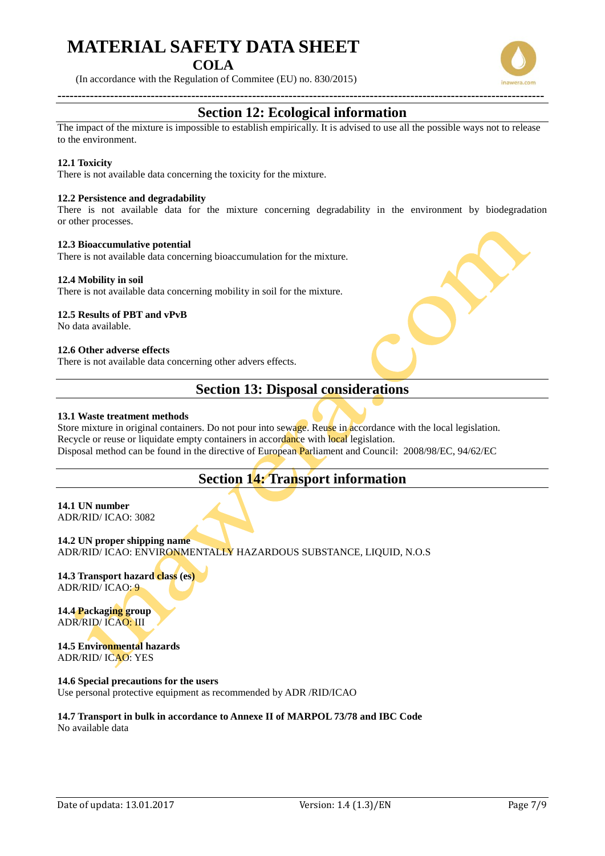### **COLA**

(In accordance with the Regulation of Commitee (EU) no. 830/2015)



The impact of the mixture is impossible to establish empirically. It is advised to use all the possible ways not to release to the environment.

### **12.1 Toxicity**

There is not available data concerning the toxicity for the mixture.

### **12.2 Persistence and degradability**

There is not available data for the mixture concerning degradability in the environment by biodegradation or other processes.

### **12.3 Bioaccumulative potential**

There is not available data concerning bioaccumulation for the mixture.

### **12.4 Mobility in soil**

There is not available data concerning mobility in soil for the mixture.

#### **12.5 Results of PBT and vPvB**

No data available.

### **12.6 Other adverse effects**

There is not available data concerning other advers effects.

### **Section 13: Disposal considerations**

### **13.1 Waste treatment methods**

Store mixture in original containers. Do not pour into sewage. Reuse in accordance with the local legislation. Recycle or reuse or liquidate empty containers in accordance with local legislation. Disposal method can be found in the directive of European Parliament and Council: 2008/98/EC, 94/62/EC

### **Section 14: Transport information**

### **14.1 UN number**  ADR/RID/ ICAO: 3082

**14.2 UN proper shipping name**  ADR/RID/ ICAO: ENVIRONMENTALLY HAZARDOUS SUBSTANCE, LIQUID, N.O.S

**14.3 Transport hazard class (es)** ADR/RID/ ICAO: 9

**14.4 Packaging group** ADR/RID/ ICAO: III

### **14.5 Environmental hazards**  ADR/RID/ ICAO: YES

### **14.6 Special precautions for the users**

Use personal protective equipment as recommended by ADR /RID/ICAO

### **14.7 Transport in bulk in accordance to Annexe II of MARPOL 73/78 and IBC Code** No available data

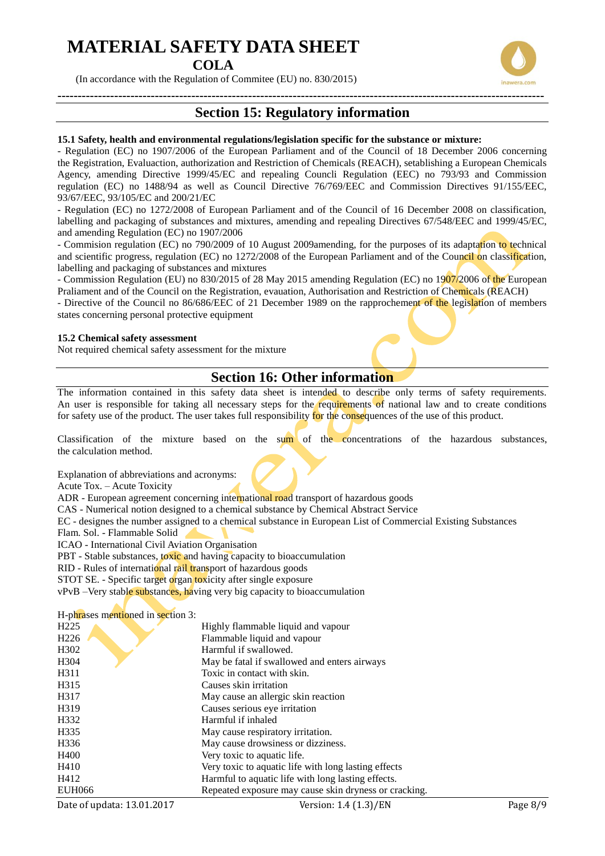**COLA**

(In accordance with the Regulation of Commitee (EU) no. 830/2015)

## **Section 15: Regulatory information**

#### **15.1 Safety, health and environmental regulations/legislation specific for the substance or mixture:**

- Regulation (EC) no 1907/2006 of the European Parliament and of the Council of 18 December 2006 concerning the Registration, Evaluaction, authorization and Restriction of Chemicals (REACH), setablishing a European Chemicals Agency, amending Directive 1999/45/EC and repealing Councli Regulation (EEC) no 793/93 and Commission regulation (EC) no 1488/94 as well as Council Directive 76/769/EEC and Commission Directives 91/155/EEC, 93/67/EEC, 93/105/EC and 200/21/EC

- Regulation (EC) no 1272/2008 of European Parliament and of the Council of 16 December 2008 on classification, labelling and packaging of substances and mixtures, amending and repealing Directives 67/548/EEC and 1999/45/EC, and amending Regulation (EC) no 1907/2006

- Commision regulation (EC) no 790/2009 of 10 August 2009amending, for the purposes of its adaptation to technical and scientific progress, regulation (EC) no 1272/2008 of the European Parliament and of the Council on classification, labelling and packaging of substances and mixtures

- Commission Regulation (EU) no 830/2015 of 28 May 2015 amending Regulation (EC) no 1907/2006 of the European Praliament and of the Council on the Registration, evauation, Authorisation and Restriction of Chemicals (REACH)

- Directive of the Council no 86/686/EEC of 21 December 1989 on the rapprochement of the legislation of members states concerning personal protective equipment

### **15.2 Chemical safety assessment**

Not required chemical safety assessment for the mixture

### **Section 16: Other information**

The information contained in this safety data sheet is intended to describe only terms of safety requirements. An user is responsible for taking all necessary steps for the requirements of national law and to create conditions for safety use of the product. The user takes full responsibility for the consequences of the use of this product.

Classification of the mixture based on the sum of the concentrations of the hazardous substances, the calculation method.

Explanation of abbreviations and acronyms:

Acute Tox. – Acute Toxicity

ADR - European agreement concerning international road transport of hazardous goods

CAS - Numerical notion designed to a chemical substance by Chemical Abstract Service

EC - designes the number assigned to a chemical substance in European List of Commercial Existing Substances

Flam. Sol. - Flammable Solid

ICAO - International Civil Aviation Organisation

PBT - Stable substances, toxic and having capacity to bioaccumulation

RID - Rules of international rail transport of hazardous goods

STOT SE. - Specific target organ toxicity after single exposure

vPvB –Very stable substances, having very big capacity to bioaccumulation

### H-phrases mentioned in section 3:

| H <sub>225</sub>  | Highly flammable liquid and vapour                    |
|-------------------|-------------------------------------------------------|
| H <sub>226</sub>  | Flammable liquid and vapour                           |
| H <sub>3</sub> 02 | Harmful if swallowed.                                 |
| H <sub>304</sub>  | May be fatal if swallowed and enters airways          |
| H <sub>311</sub>  | Toxic in contact with skin.                           |
| H315              | Causes skin irritation                                |
| H317              | May cause an allergic skin reaction                   |
| H <sub>3</sub> 19 | Causes serious eye irritation                         |
| H332              | Harmful if inhaled                                    |
| H <sub>335</sub>  | May cause respiratory irritation.                     |
| H <sub>336</sub>  | May cause drowsiness or dizziness.                    |
| H400              | Very toxic to aquatic life.                           |
| H410              | Very toxic to aquatic life with long lasting effects  |
| H412              | Harmful to aquatic life with long lasting effects.    |
| <b>EUH066</b>     | Repeated exposure may cause skin dryness or cracking. |